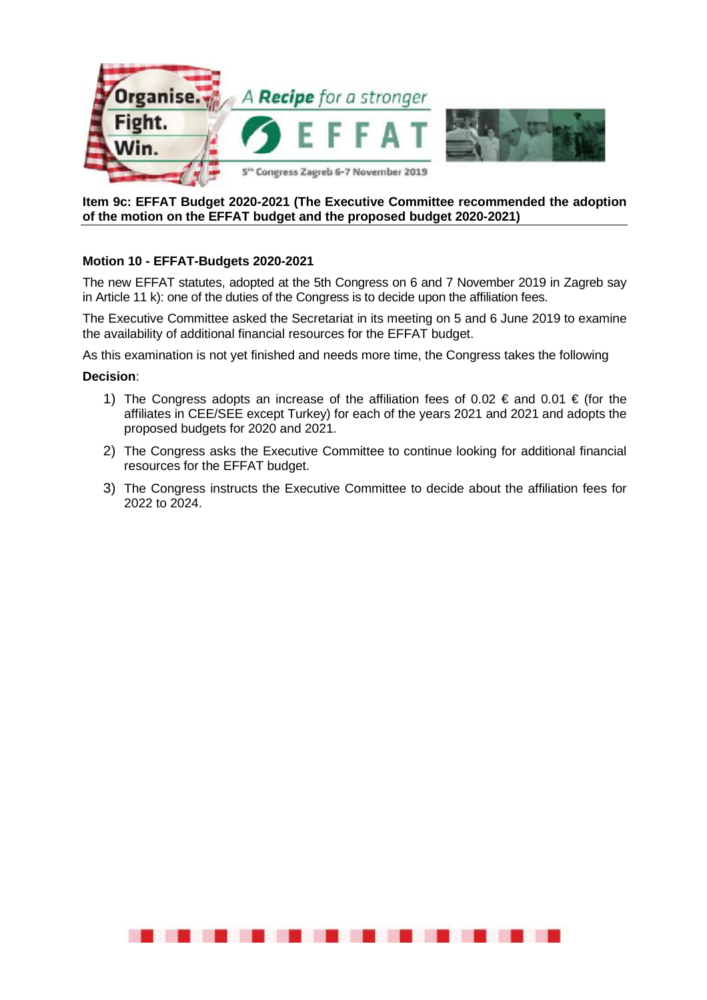

## **Item 9c: EFFAT Budget 2020-2021 (The Executive Committee recommended the adoption of the motion on the EFFAT budget and the proposed budget 2020-2021)**

## **Motion 10 - EFFAT-Budgets 2020-2021**

The new EFFAT statutes, adopted at the 5th Congress on 6 and 7 November 2019 in Zagreb say in Article 11 k): one of the duties of the Congress is to decide upon the affiliation fees.

The Executive Committee asked the Secretariat in its meeting on 5 and 6 June 2019 to examine the availability of additional financial resources for the EFFAT budget.

As this examination is not yet finished and needs more time, the Congress takes the following

## **Decision**:

- 1) The Congress adopts an increase of the affiliation fees of 0.02 € and 0.01 € (for the affiliates in CEE/SEE except Turkey) for each of the years 2021 and 2021 and adopts the proposed budgets for 2020 and 2021.
- 2) The Congress asks the Executive Committee to continue looking for additional financial resources for the EFFAT budget.
- 3) The Congress instructs the Executive Committee to decide about the affiliation fees for 2022 to 2024.